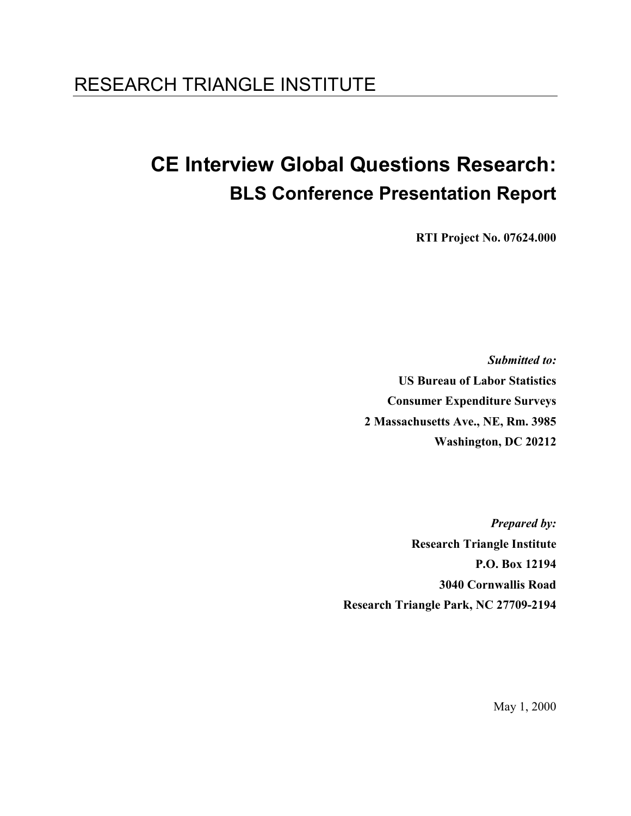## RESEARCH TRIANGLE INSTITUTE

# CE Interview Global Questions Research: BLS Conference Presentation Report

RTI Project No. 07624.000

Submitted to: US Bureau of Labor Statistics Consumer Expenditure Surveys 2 Massachusetts Ave., NE, Rm. 3985 Washington, DC 20212

Prepared by: Research Triangle Institute P.O. Box 12194 3040 Cornwallis Road Research Triangle Park, NC 27709-2194

May 1, 2000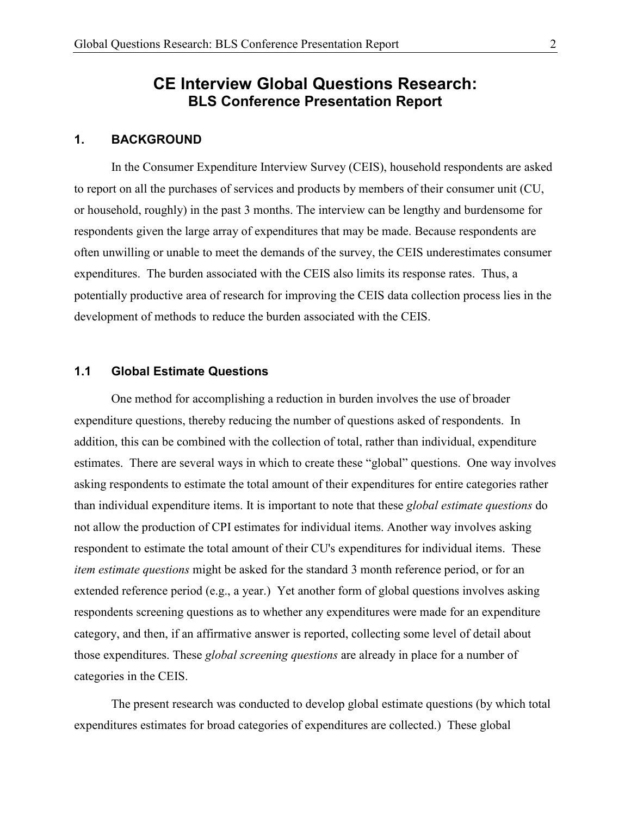## CE Interview Global Questions Research: BLS Conference Presentation Report

#### 1. BACKGROUND

In the Consumer Expenditure Interview Survey (CEIS), household respondents are asked to report on all the purchases of services and products by members of their consumer unit (CU, or household, roughly) in the past 3 months. The interview can be lengthy and burdensome for respondents given the large array of expenditures that may be made. Because respondents are often unwilling or unable to meet the demands of the survey, the CEIS underestimates consumer expenditures. The burden associated with the CEIS also limits its response rates. Thus, a potentially productive area of research for improving the CEIS data collection process lies in the development of methods to reduce the burden associated with the CEIS.

#### 1.1 Global Estimate Questions

One method for accomplishing a reduction in burden involves the use of broader expenditure questions, thereby reducing the number of questions asked of respondents. In addition, this can be combined with the collection of total, rather than individual, expenditure estimates. There are several ways in which to create these "global" questions. One way involves asking respondents to estimate the total amount of their expenditures for entire categories rather than individual expenditure items. It is important to note that these global estimate questions do not allow the production of CPI estimates for individual items. Another way involves asking respondent to estimate the total amount of their CU's expenditures for individual items. These item estimate questions might be asked for the standard 3 month reference period, or for an extended reference period (e.g., a year.) Yet another form of global questions involves asking respondents screening questions as to whether any expenditures were made for an expenditure category, and then, if an affirmative answer is reported, collecting some level of detail about those expenditures. These *global screening questions* are already in place for a number of categories in the CEIS.

The present research was conducted to develop global estimate questions (by which total expenditures estimates for broad categories of expenditures are collected.) These global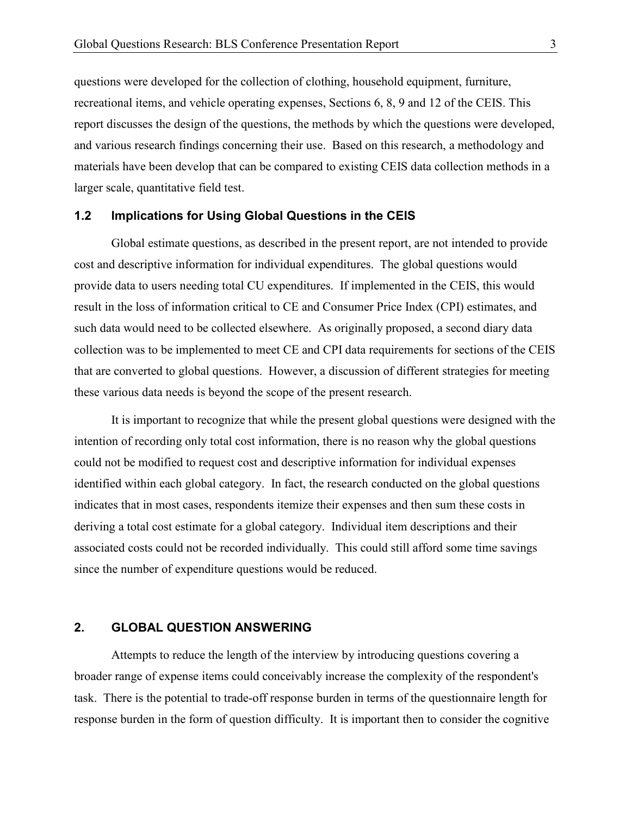questions were developed for the collection of clothing, household equipment, furniture, recreational items, and vehicle operating expenses, Sections 6, 8, 9 and 12 of the CEIS. This report discusses the design of the questions, the methods by which the questions were developed, and various research findings concerning their use. Based on this research, a methodology and materials have been develop that can be compared to existing CEIS data collection methods in a larger scale, quantitative field test.

#### 1.2 Implications for Using Global Questions in the CEIS

Global estimate questions, as described in the present report, are not intended to provide cost and descriptive information for individual expenditures. The global questions would provide data to users needing total CU expenditures. If implemented in the CEIS, this would result in the loss of information critical to CE and Consumer Price Index (CPI) estimates, and such data would need to be collected elsewhere. As originally proposed, a second diary data collection was to be implemented to meet CE and CPI data requirements for sections of the CEIS that are converted to global questions. However, a discussion of different strategies for meeting these various data needs is beyond the scope of the present research.

 It is important to recognize that while the present global questions were designed with the intention of recording only total cost information, there is no reason why the global questions could not be modified to request cost and descriptive information for individual expenses identified within each global category. In fact, the research conducted on the global questions indicates that in most cases, respondents itemize their expenses and then sum these costs in deriving a total cost estimate for a global category. Individual item descriptions and their associated costs could not be recorded individually. This could still afford some time savings since the number of expenditure questions would be reduced.

#### 2. GLOBAL QUESTION ANSWERING

Attempts to reduce the length of the interview by introducing questions covering a broader range of expense items could conceivably increase the complexity of the respondent's task. There is the potential to trade-off response burden in terms of the questionnaire length for response burden in the form of question difficulty. It is important then to consider the cognitive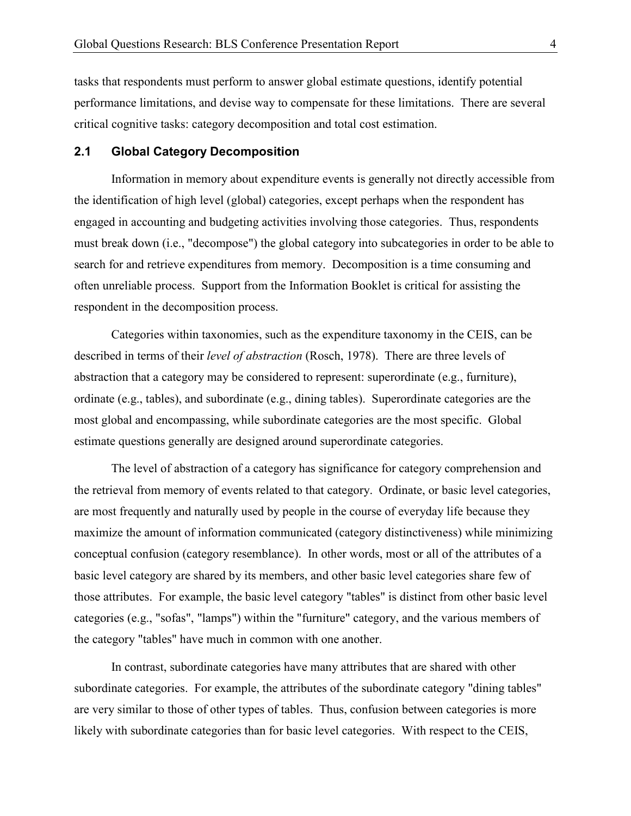tasks that respondents must perform to answer global estimate questions, identify potential performance limitations, and devise way to compensate for these limitations. There are several critical cognitive tasks: category decomposition and total cost estimation.

#### 2.1 Global Category Decomposition

Information in memory about expenditure events is generally not directly accessible from the identification of high level (global) categories, except perhaps when the respondent has engaged in accounting and budgeting activities involving those categories. Thus, respondents must break down (i.e., "decompose") the global category into subcategories in order to be able to search for and retrieve expenditures from memory. Decomposition is a time consuming and often unreliable process. Support from the Information Booklet is critical for assisting the respondent in the decomposition process.

Categories within taxonomies, such as the expenditure taxonomy in the CEIS, can be described in terms of their *level of abstraction* (Rosch, 1978). There are three levels of abstraction that a category may be considered to represent: superordinate (e.g., furniture), ordinate (e.g., tables), and subordinate (e.g., dining tables). Superordinate categories are the most global and encompassing, while subordinate categories are the most specific. Global estimate questions generally are designed around superordinate categories.

 The level of abstraction of a category has significance for category comprehension and the retrieval from memory of events related to that category. Ordinate, or basic level categories, are most frequently and naturally used by people in the course of everyday life because they maximize the amount of information communicated (category distinctiveness) while minimizing conceptual confusion (category resemblance). In other words, most or all of the attributes of a basic level category are shared by its members, and other basic level categories share few of those attributes. For example, the basic level category "tables" is distinct from other basic level categories (e.g., "sofas", "lamps") within the "furniture" category, and the various members of the category "tables" have much in common with one another.

 In contrast, subordinate categories have many attributes that are shared with other subordinate categories. For example, the attributes of the subordinate category "dining tables" are very similar to those of other types of tables. Thus, confusion between categories is more likely with subordinate categories than for basic level categories. With respect to the CEIS,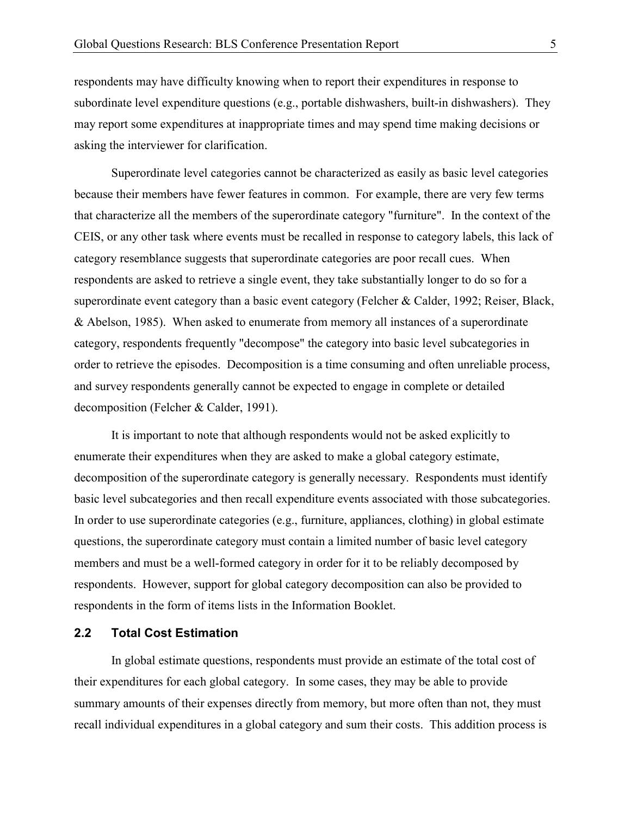respondents may have difficulty knowing when to report their expenditures in response to subordinate level expenditure questions (e.g., portable dishwashers, built-in dishwashers). They may report some expenditures at inappropriate times and may spend time making decisions or asking the interviewer for clarification.

Superordinate level categories cannot be characterized as easily as basic level categories because their members have fewer features in common. For example, there are very few terms that characterize all the members of the superordinate category "furniture". In the context of the CEIS, or any other task where events must be recalled in response to category labels, this lack of category resemblance suggests that superordinate categories are poor recall cues. When respondents are asked to retrieve a single event, they take substantially longer to do so for a superordinate event category than a basic event category (Felcher & Calder, 1992; Reiser, Black, & Abelson, 1985). When asked to enumerate from memory all instances of a superordinate category, respondents frequently "decompose" the category into basic level subcategories in order to retrieve the episodes. Decomposition is a time consuming and often unreliable process, and survey respondents generally cannot be expected to engage in complete or detailed decomposition (Felcher & Calder, 1991).

It is important to note that although respondents would not be asked explicitly to enumerate their expenditures when they are asked to make a global category estimate, decomposition of the superordinate category is generally necessary. Respondents must identify basic level subcategories and then recall expenditure events associated with those subcategories. In order to use superordinate categories (e.g., furniture, appliances, clothing) in global estimate questions, the superordinate category must contain a limited number of basic level category members and must be a well-formed category in order for it to be reliably decomposed by respondents. However, support for global category decomposition can also be provided to respondents in the form of items lists in the Information Booklet.

#### 2.2 Total Cost Estimation

In global estimate questions, respondents must provide an estimate of the total cost of their expenditures for each global category. In some cases, they may be able to provide summary amounts of their expenses directly from memory, but more often than not, they must recall individual expenditures in a global category and sum their costs. This addition process is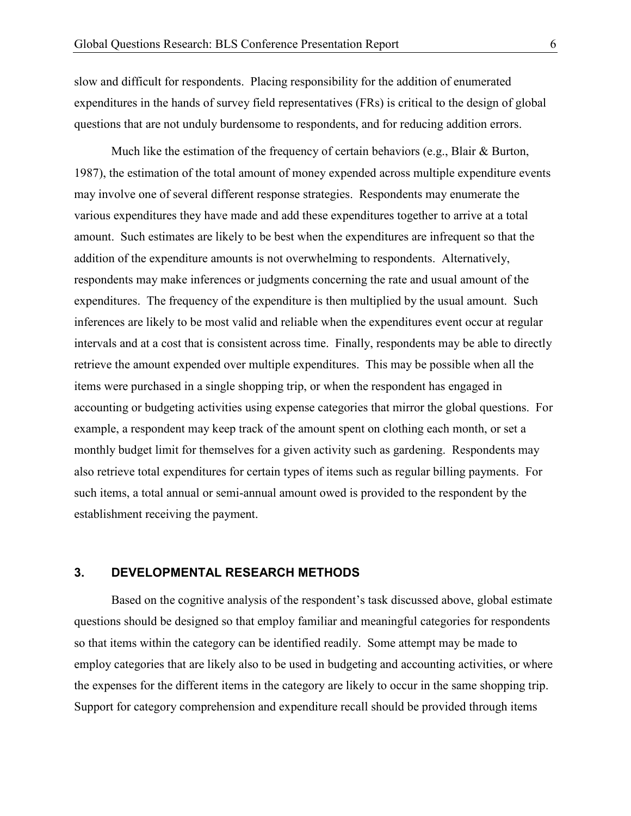slow and difficult for respondents. Placing responsibility for the addition of enumerated expenditures in the hands of survey field representatives (FRs) is critical to the design of global questions that are not unduly burdensome to respondents, and for reducing addition errors.

 Much like the estimation of the frequency of certain behaviors (e.g., Blair & Burton, 1987), the estimation of the total amount of money expended across multiple expenditure events may involve one of several different response strategies. Respondents may enumerate the various expenditures they have made and add these expenditures together to arrive at a total amount. Such estimates are likely to be best when the expenditures are infrequent so that the addition of the expenditure amounts is not overwhelming to respondents. Alternatively, respondents may make inferences or judgments concerning the rate and usual amount of the expenditures. The frequency of the expenditure is then multiplied by the usual amount. Such inferences are likely to be most valid and reliable when the expenditures event occur at regular intervals and at a cost that is consistent across time. Finally, respondents may be able to directly retrieve the amount expended over multiple expenditures. This may be possible when all the items were purchased in a single shopping trip, or when the respondent has engaged in accounting or budgeting activities using expense categories that mirror the global questions. For example, a respondent may keep track of the amount spent on clothing each month, or set a monthly budget limit for themselves for a given activity such as gardening. Respondents may also retrieve total expenditures for certain types of items such as regular billing payments. For such items, a total annual or semi-annual amount owed is provided to the respondent by the establishment receiving the payment.

#### 3. DEVELOPMENTAL RESEARCH METHODS

Based on the cognitive analysis of the respondent's task discussed above, global estimate questions should be designed so that employ familiar and meaningful categories for respondents so that items within the category can be identified readily. Some attempt may be made to employ categories that are likely also to be used in budgeting and accounting activities, or where the expenses for the different items in the category are likely to occur in the same shopping trip. Support for category comprehension and expenditure recall should be provided through items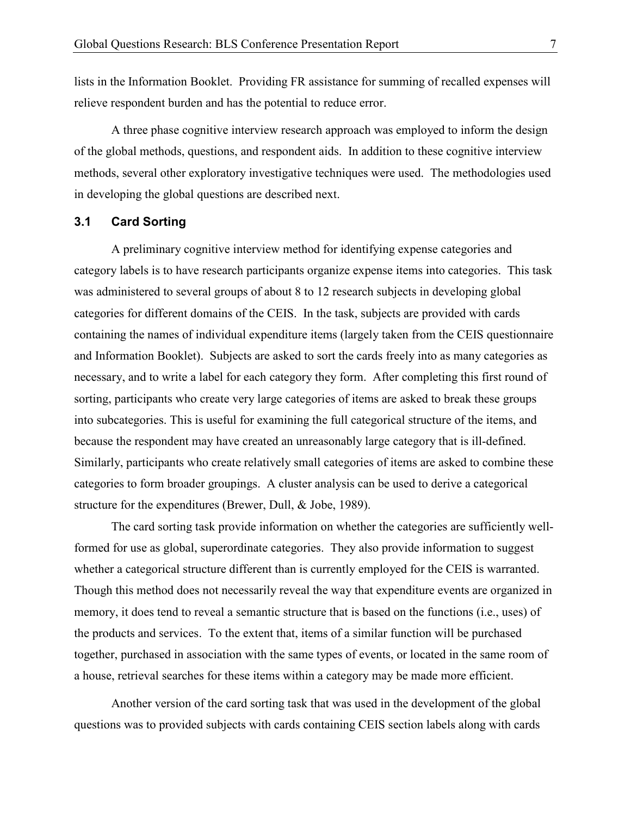lists in the Information Booklet. Providing FR assistance for summing of recalled expenses will relieve respondent burden and has the potential to reduce error.

A three phase cognitive interview research approach was employed to inform the design of the global methods, questions, and respondent aids. In addition to these cognitive interview methods, several other exploratory investigative techniques were used. The methodologies used in developing the global questions are described next.

#### 3.1 Card Sorting

A preliminary cognitive interview method for identifying expense categories and category labels is to have research participants organize expense items into categories. This task was administered to several groups of about 8 to 12 research subjects in developing global categories for different domains of the CEIS. In the task, subjects are provided with cards containing the names of individual expenditure items (largely taken from the CEIS questionnaire and Information Booklet). Subjects are asked to sort the cards freely into as many categories as necessary, and to write a label for each category they form. After completing this first round of sorting, participants who create very large categories of items are asked to break these groups into subcategories. This is useful for examining the full categorical structure of the items, and because the respondent may have created an unreasonably large category that is ill-defined. Similarly, participants who create relatively small categories of items are asked to combine these categories to form broader groupings. A cluster analysis can be used to derive a categorical structure for the expenditures (Brewer, Dull, & Jobe, 1989).

The card sorting task provide information on whether the categories are sufficiently wellformed for use as global, superordinate categories. They also provide information to suggest whether a categorical structure different than is currently employed for the CEIS is warranted. Though this method does not necessarily reveal the way that expenditure events are organized in memory, it does tend to reveal a semantic structure that is based on the functions (i.e., uses) of the products and services. To the extent that, items of a similar function will be purchased together, purchased in association with the same types of events, or located in the same room of a house, retrieval searches for these items within a category may be made more efficient.

 Another version of the card sorting task that was used in the development of the global questions was to provided subjects with cards containing CEIS section labels along with cards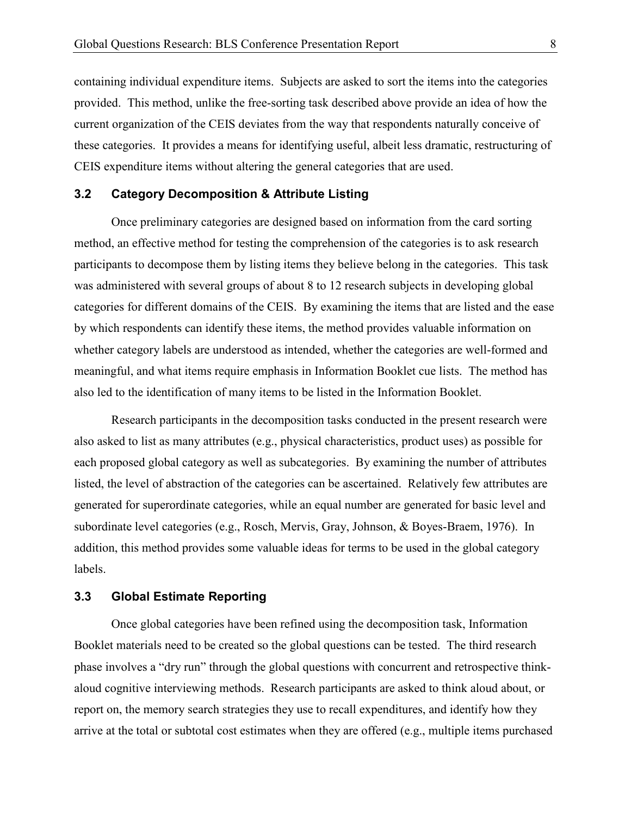containing individual expenditure items. Subjects are asked to sort the items into the categories provided. This method, unlike the free-sorting task described above provide an idea of how the current organization of the CEIS deviates from the way that respondents naturally conceive of these categories. It provides a means for identifying useful, albeit less dramatic, restructuring of CEIS expenditure items without altering the general categories that are used.

#### 3.2 Category Decomposition & Attribute Listing

Once preliminary categories are designed based on information from the card sorting method, an effective method for testing the comprehension of the categories is to ask research participants to decompose them by listing items they believe belong in the categories. This task was administered with several groups of about 8 to 12 research subjects in developing global categories for different domains of the CEIS. By examining the items that are listed and the ease by which respondents can identify these items, the method provides valuable information on whether category labels are understood as intended, whether the categories are well-formed and meaningful, and what items require emphasis in Information Booklet cue lists. The method has also led to the identification of many items to be listed in the Information Booklet.

 Research participants in the decomposition tasks conducted in the present research were also asked to list as many attributes (e.g., physical characteristics, product uses) as possible for each proposed global category as well as subcategories. By examining the number of attributes listed, the level of abstraction of the categories can be ascertained. Relatively few attributes are generated for superordinate categories, while an equal number are generated for basic level and subordinate level categories (e.g., Rosch, Mervis, Gray, Johnson, & Boyes-Braem, 1976). In addition, this method provides some valuable ideas for terms to be used in the global category labels.

#### 3.3 Global Estimate Reporting

Once global categories have been refined using the decomposition task, Information Booklet materials need to be created so the global questions can be tested. The third research phase involves a "dry run" through the global questions with concurrent and retrospective thinkaloud cognitive interviewing methods. Research participants are asked to think aloud about, or report on, the memory search strategies they use to recall expenditures, and identify how they arrive at the total or subtotal cost estimates when they are offered (e.g., multiple items purchased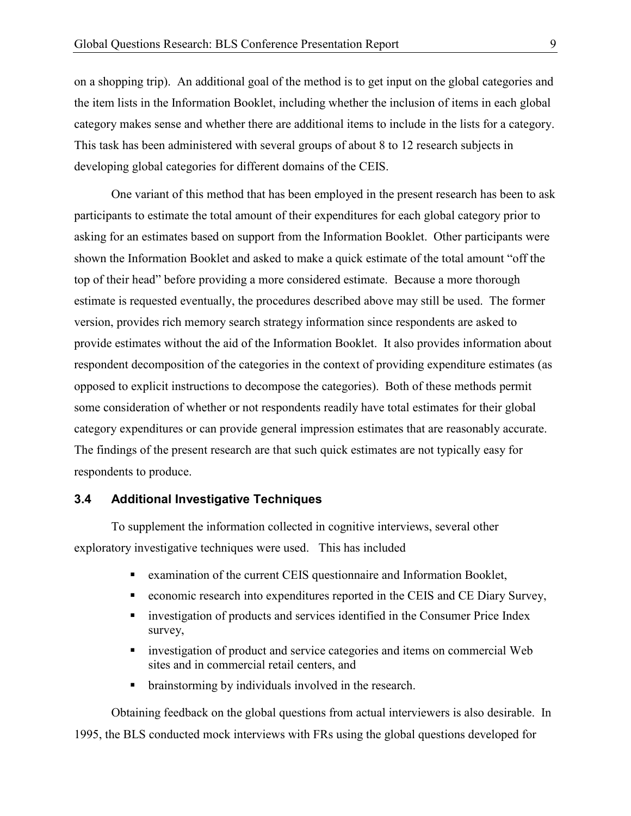on a shopping trip). An additional goal of the method is to get input on the global categories and the item lists in the Information Booklet, including whether the inclusion of items in each global category makes sense and whether there are additional items to include in the lists for a category. This task has been administered with several groups of about 8 to 12 research subjects in developing global categories for different domains of the CEIS.

One variant of this method that has been employed in the present research has been to ask participants to estimate the total amount of their expenditures for each global category prior to asking for an estimates based on support from the Information Booklet. Other participants were shown the Information Booklet and asked to make a quick estimate of the total amount "off the top of their head" before providing a more considered estimate. Because a more thorough estimate is requested eventually, the procedures described above may still be used. The former version, provides rich memory search strategy information since respondents are asked to provide estimates without the aid of the Information Booklet. It also provides information about respondent decomposition of the categories in the context of providing expenditure estimates (as opposed to explicit instructions to decompose the categories). Both of these methods permit some consideration of whether or not respondents readily have total estimates for their global category expenditures or can provide general impression estimates that are reasonably accurate. The findings of the present research are that such quick estimates are not typically easy for respondents to produce.

#### 3.4 Additional Investigative Techniques

To supplement the information collected in cognitive interviews, several other exploratory investigative techniques were used. This has included

- examination of the current CEIS questionnaire and Information Booklet,
- economic research into expenditures reported in the CEIS and CE Diary Survey,
- investigation of products and services identified in the Consumer Price Index survey,
- investigation of product and service categories and items on commercial Web sites and in commercial retail centers, and
- brainstorming by individuals involved in the research.

Obtaining feedback on the global questions from actual interviewers is also desirable. In 1995, the BLS conducted mock interviews with FRs using the global questions developed for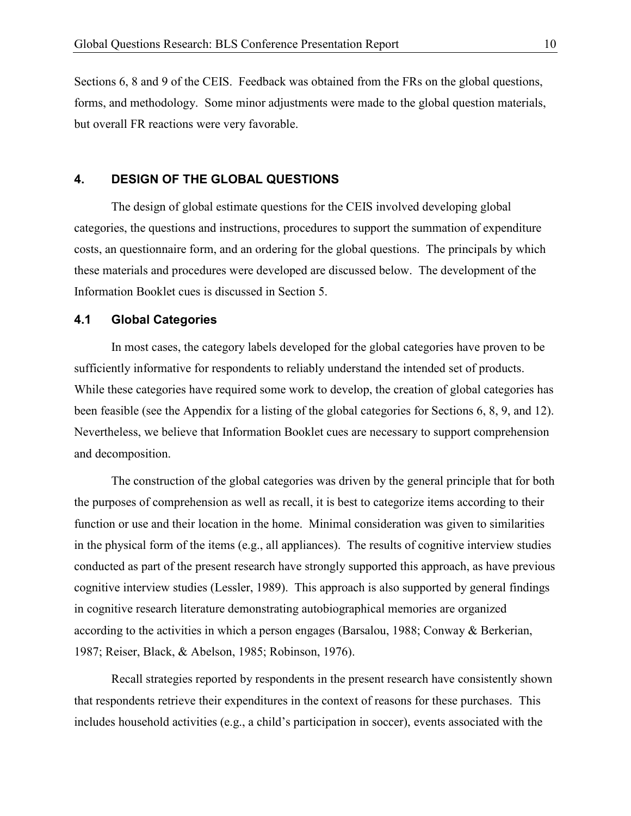Sections 6, 8 and 9 of the CEIS. Feedback was obtained from the FRs on the global questions, forms, and methodology. Some minor adjustments were made to the global question materials, but overall FR reactions were very favorable.

#### 4. DESIGN OF THE GLOBAL QUESTIONS

The design of global estimate questions for the CEIS involved developing global categories, the questions and instructions, procedures to support the summation of expenditure costs, an questionnaire form, and an ordering for the global questions. The principals by which these materials and procedures were developed are discussed below. The development of the Information Booklet cues is discussed in Section 5.

#### 4.1 Global Categories

In most cases, the category labels developed for the global categories have proven to be sufficiently informative for respondents to reliably understand the intended set of products. While these categories have required some work to develop, the creation of global categories has been feasible (see the Appendix for a listing of the global categories for Sections 6, 8, 9, and 12). Nevertheless, we believe that Information Booklet cues are necessary to support comprehension and decomposition.

The construction of the global categories was driven by the general principle that for both the purposes of comprehension as well as recall, it is best to categorize items according to their function or use and their location in the home. Minimal consideration was given to similarities in the physical form of the items (e.g., all appliances). The results of cognitive interview studies conducted as part of the present research have strongly supported this approach, as have previous cognitive interview studies (Lessler, 1989). This approach is also supported by general findings in cognitive research literature demonstrating autobiographical memories are organized according to the activities in which a person engages (Barsalou, 1988; Conway & Berkerian, 1987; Reiser, Black, & Abelson, 1985; Robinson, 1976).

Recall strategies reported by respondents in the present research have consistently shown that respondents retrieve their expenditures in the context of reasons for these purchases. This includes household activities (e.g., a child's participation in soccer), events associated with the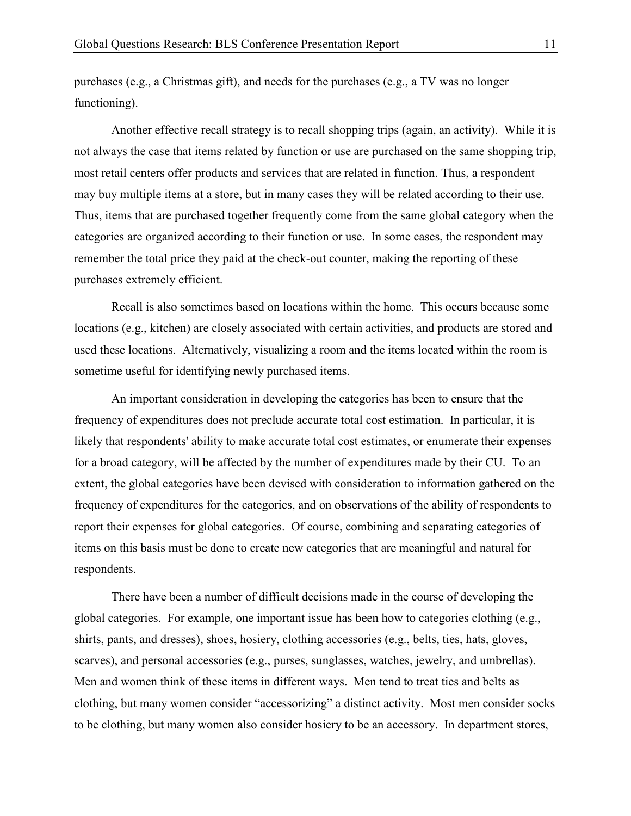purchases (e.g., a Christmas gift), and needs for the purchases (e.g., a TV was no longer functioning).

Another effective recall strategy is to recall shopping trips (again, an activity). While it is not always the case that items related by function or use are purchased on the same shopping trip, most retail centers offer products and services that are related in function. Thus, a respondent may buy multiple items at a store, but in many cases they will be related according to their use. Thus, items that are purchased together frequently come from the same global category when the categories are organized according to their function or use. In some cases, the respondent may remember the total price they paid at the check-out counter, making the reporting of these purchases extremely efficient.

Recall is also sometimes based on locations within the home. This occurs because some locations (e.g., kitchen) are closely associated with certain activities, and products are stored and used these locations. Alternatively, visualizing a room and the items located within the room is sometime useful for identifying newly purchased items.

 An important consideration in developing the categories has been to ensure that the frequency of expenditures does not preclude accurate total cost estimation. In particular, it is likely that respondents' ability to make accurate total cost estimates, or enumerate their expenses for a broad category, will be affected by the number of expenditures made by their CU. To an extent, the global categories have been devised with consideration to information gathered on the frequency of expenditures for the categories, and on observations of the ability of respondents to report their expenses for global categories. Of course, combining and separating categories of items on this basis must be done to create new categories that are meaningful and natural for respondents.

 There have been a number of difficult decisions made in the course of developing the global categories. For example, one important issue has been how to categories clothing (e.g., shirts, pants, and dresses), shoes, hosiery, clothing accessories (e.g., belts, ties, hats, gloves, scarves), and personal accessories (e.g., purses, sunglasses, watches, jewelry, and umbrellas). Men and women think of these items in different ways. Men tend to treat ties and belts as clothing, but many women consider "accessorizing" a distinct activity. Most men consider socks to be clothing, but many women also consider hosiery to be an accessory. In department stores,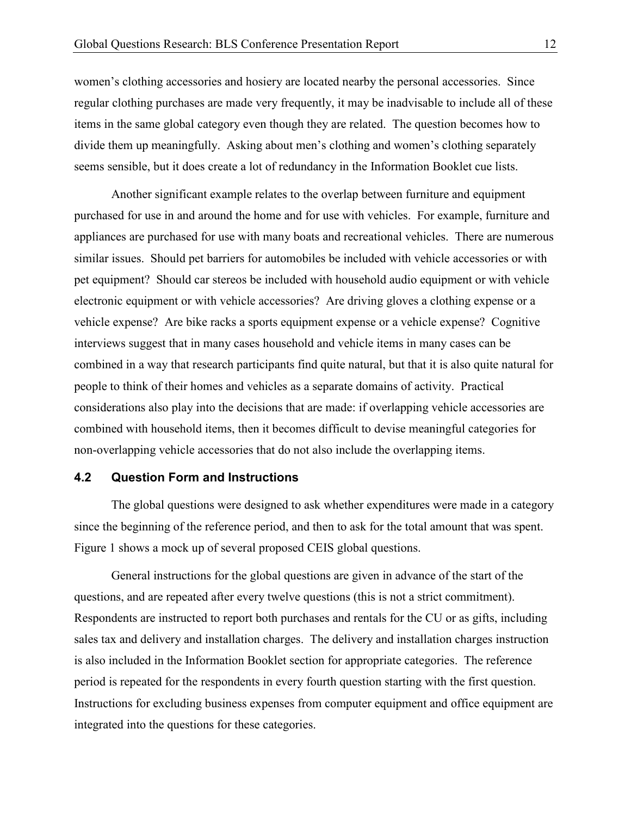women's clothing accessories and hosiery are located nearby the personal accessories. Since regular clothing purchases are made very frequently, it may be inadvisable to include all of these items in the same global category even though they are related. The question becomes how to divide them up meaningfully. Asking about men's clothing and women's clothing separately seems sensible, but it does create a lot of redundancy in the Information Booklet cue lists.

Another significant example relates to the overlap between furniture and equipment purchased for use in and around the home and for use with vehicles. For example, furniture and appliances are purchased for use with many boats and recreational vehicles. There are numerous similar issues. Should pet barriers for automobiles be included with vehicle accessories or with pet equipment? Should car stereos be included with household audio equipment or with vehicle electronic equipment or with vehicle accessories? Are driving gloves a clothing expense or a vehicle expense? Are bike racks a sports equipment expense or a vehicle expense? Cognitive interviews suggest that in many cases household and vehicle items in many cases can be combined in a way that research participants find quite natural, but that it is also quite natural for people to think of their homes and vehicles as a separate domains of activity. Practical considerations also play into the decisions that are made: if overlapping vehicle accessories are combined with household items, then it becomes difficult to devise meaningful categories for non-overlapping vehicle accessories that do not also include the overlapping items.

#### 4.2 Question Form and Instructions

The global questions were designed to ask whether expenditures were made in a category since the beginning of the reference period, and then to ask for the total amount that was spent. Figure 1 shows a mock up of several proposed CEIS global questions.

General instructions for the global questions are given in advance of the start of the questions, and are repeated after every twelve questions (this is not a strict commitment). Respondents are instructed to report both purchases and rentals for the CU or as gifts, including sales tax and delivery and installation charges. The delivery and installation charges instruction is also included in the Information Booklet section for appropriate categories. The reference period is repeated for the respondents in every fourth question starting with the first question. Instructions for excluding business expenses from computer equipment and office equipment are integrated into the questions for these categories.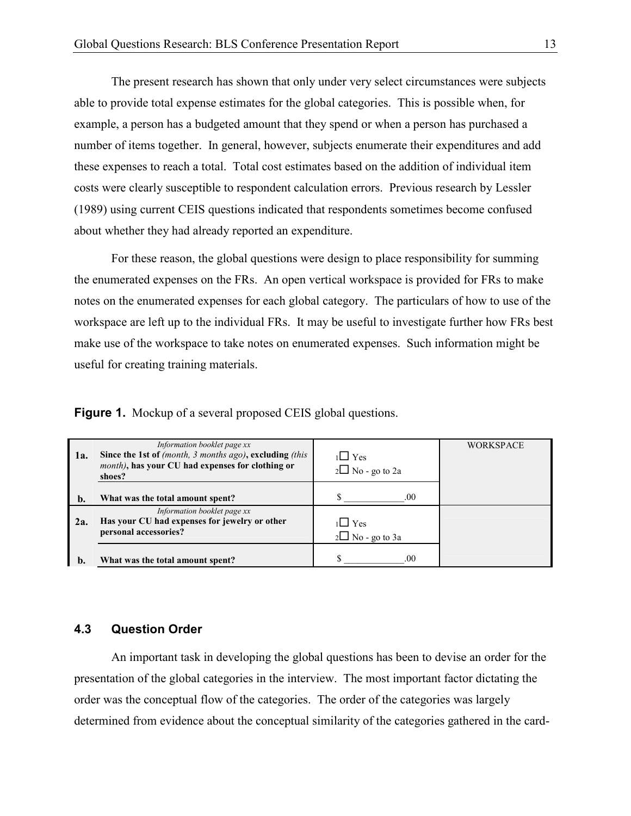The present research has shown that only under very select circumstances were subjects able to provide total expense estimates for the global categories. This is possible when, for example, a person has a budgeted amount that they spend or when a person has purchased a number of items together. In general, however, subjects enumerate their expenditures and add these expenses to reach a total. Total cost estimates based on the addition of individual item costs were clearly susceptible to respondent calculation errors. Previous research by Lessler (1989) using current CEIS questions indicated that respondents sometimes become confused about whether they had already reported an expenditure.

For these reason, the global questions were design to place responsibility for summing the enumerated expenses on the FRs. An open vertical workspace is provided for FRs to make notes on the enumerated expenses for each global category. The particulars of how to use of the workspace are left up to the individual FRs. It may be useful to investigate further how FRs best make use of the workspace to take notes on enumerated expenses. Such information might be useful for creating training materials.

Figure 1. Mockup of a several proposed CEIS global questions.

| 1a.           | Information booklet page xx<br>Since the 1st of (month, 3 months ago), excluding (this<br>month), has your CU had expenses for clothing or<br>shoes? | $1 \square$ Yes<br>$2\Box$ No - go to 2a | <b>WORKSPACE</b> |
|---------------|------------------------------------------------------------------------------------------------------------------------------------------------------|------------------------------------------|------------------|
| $\mathbf b$ . | What was the total amount spent?                                                                                                                     | .00                                      |                  |
| 2a.           | Information booklet page xx<br>Has your CU had expenses for jewelry or other<br>personal accessories?                                                | 1∟ Yes<br>$2\Box$ No - go to 3a          |                  |
| b.            | What was the total amount spent?                                                                                                                     | .00                                      |                  |

#### 4.3 Question Order

An important task in developing the global questions has been to devise an order for the presentation of the global categories in the interview. The most important factor dictating the order was the conceptual flow of the categories. The order of the categories was largely determined from evidence about the conceptual similarity of the categories gathered in the card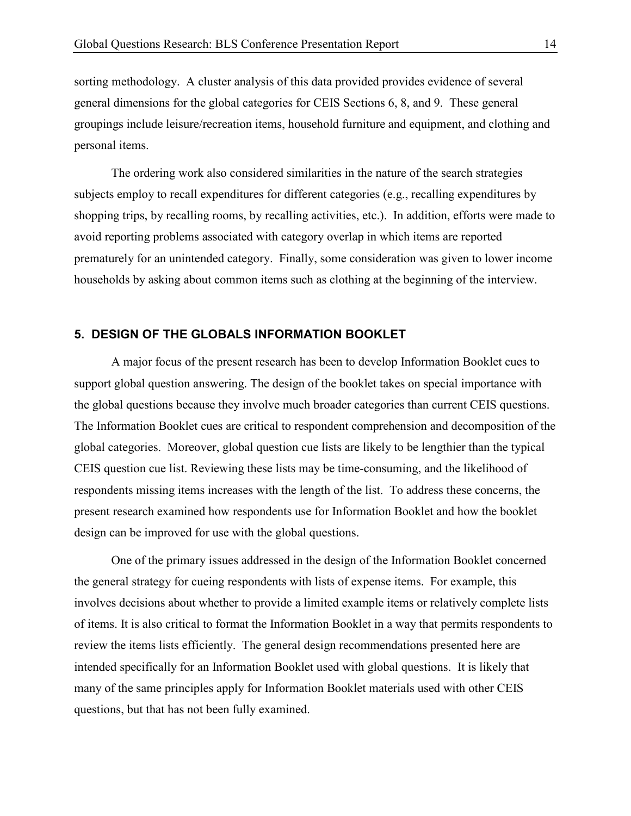sorting methodology. A cluster analysis of this data provided provides evidence of several general dimensions for the global categories for CEIS Sections 6, 8, and 9. These general groupings include leisure/recreation items, household furniture and equipment, and clothing and personal items.

The ordering work also considered similarities in the nature of the search strategies subjects employ to recall expenditures for different categories (e.g., recalling expenditures by shopping trips, by recalling rooms, by recalling activities, etc.). In addition, efforts were made to avoid reporting problems associated with category overlap in which items are reported prematurely for an unintended category. Finally, some consideration was given to lower income households by asking about common items such as clothing at the beginning of the interview.

#### 5. DESIGN OF THE GLOBALS INFORMATION BOOKLET

A major focus of the present research has been to develop Information Booklet cues to support global question answering. The design of the booklet takes on special importance with the global questions because they involve much broader categories than current CEIS questions. The Information Booklet cues are critical to respondent comprehension and decomposition of the global categories. Moreover, global question cue lists are likely to be lengthier than the typical CEIS question cue list. Reviewing these lists may be time-consuming, and the likelihood of respondents missing items increases with the length of the list. To address these concerns, the present research examined how respondents use for Information Booklet and how the booklet design can be improved for use with the global questions.

One of the primary issues addressed in the design of the Information Booklet concerned the general strategy for cueing respondents with lists of expense items. For example, this involves decisions about whether to provide a limited example items or relatively complete lists of items. It is also critical to format the Information Booklet in a way that permits respondents to review the items lists efficiently. The general design recommendations presented here are intended specifically for an Information Booklet used with global questions. It is likely that many of the same principles apply for Information Booklet materials used with other CEIS questions, but that has not been fully examined.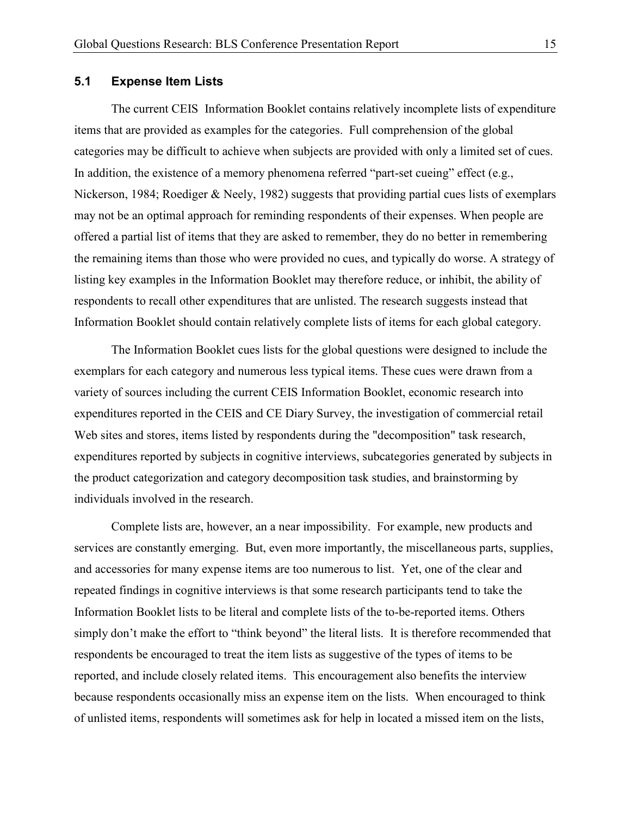#### 5.1 Expense Item Lists

The current CEIS Information Booklet contains relatively incomplete lists of expenditure items that are provided as examples for the categories. Full comprehension of the global categories may be difficult to achieve when subjects are provided with only a limited set of cues. In addition, the existence of a memory phenomena referred "part-set cueing" effect  $(e.g.,\)$ Nickerson, 1984; Roediger & Neely, 1982) suggests that providing partial cues lists of exemplars may not be an optimal approach for reminding respondents of their expenses. When people are offered a partial list of items that they are asked to remember, they do no better in remembering the remaining items than those who were provided no cues, and typically do worse. A strategy of listing key examples in the Information Booklet may therefore reduce, or inhibit, the ability of respondents to recall other expenditures that are unlisted. The research suggests instead that Information Booklet should contain relatively complete lists of items for each global category.

The Information Booklet cues lists for the global questions were designed to include the exemplars for each category and numerous less typical items. These cues were drawn from a variety of sources including the current CEIS Information Booklet, economic research into expenditures reported in the CEIS and CE Diary Survey, the investigation of commercial retail Web sites and stores, items listed by respondents during the "decomposition" task research, expenditures reported by subjects in cognitive interviews, subcategories generated by subjects in the product categorization and category decomposition task studies, and brainstorming by individuals involved in the research.

Complete lists are, however, an a near impossibility. For example, new products and services are constantly emerging. But, even more importantly, the miscellaneous parts, supplies, and accessories for many expense items are too numerous to list. Yet, one of the clear and repeated findings in cognitive interviews is that some research participants tend to take the Information Booklet lists to be literal and complete lists of the to-be-reported items. Others simply don't make the effort to "think beyond" the literal lists. It is therefore recommended that respondents be encouraged to treat the item lists as suggestive of the types of items to be reported, and include closely related items. This encouragement also benefits the interview because respondents occasionally miss an expense item on the lists. When encouraged to think of unlisted items, respondents will sometimes ask for help in located a missed item on the lists,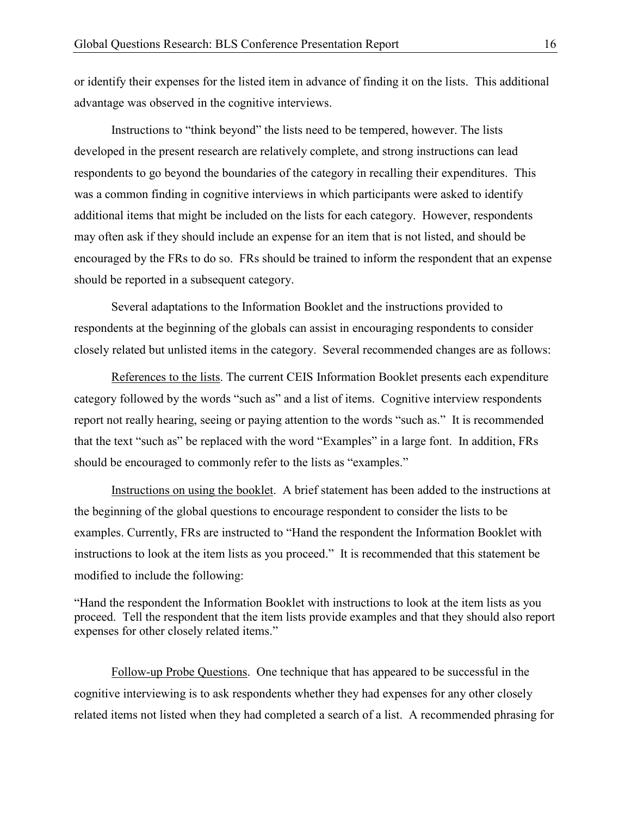or identify their expenses for the listed item in advance of finding it on the lists. This additional advantage was observed in the cognitive interviews.

Instructions to "think beyond" the lists need to be tempered, however. The lists developed in the present research are relatively complete, and strong instructions can lead respondents to go beyond the boundaries of the category in recalling their expenditures. This was a common finding in cognitive interviews in which participants were asked to identify additional items that might be included on the lists for each category. However, respondents may often ask if they should include an expense for an item that is not listed, and should be encouraged by the FRs to do so. FRs should be trained to inform the respondent that an expense should be reported in a subsequent category.

Several adaptations to the Information Booklet and the instructions provided to respondents at the beginning of the globals can assist in encouraging respondents to consider closely related but unlisted items in the category. Several recommended changes are as follows:

References to the lists. The current CEIS Information Booklet presents each expenditure category followed by the words "such as" and a list of items. Cognitive interview respondents report not really hearing, seeing or paying attention to the words "such as." It is recommended that the text "such as" be replaced with the word "Examples" in a large font. In addition, FRs should be encouraged to commonly refer to the lists as "examples."

Instructions on using the booklet. A brief statement has been added to the instructions at the beginning of the global questions to encourage respondent to consider the lists to be examples. Currently, FRs are instructed to "Hand the respondent the Information Booklet with instructions to look at the item lists as you proceed." It is recommended that this statement be modified to include the following:

"Hand the respondent the Information Booklet with instructions to look at the item lists as you proceed. Tell the respondent that the item lists provide examples and that they should also report expenses for other closely related items."

Follow-up Probe Questions. One technique that has appeared to be successful in the cognitive interviewing is to ask respondents whether they had expenses for any other closely related items not listed when they had completed a search of a list. A recommended phrasing for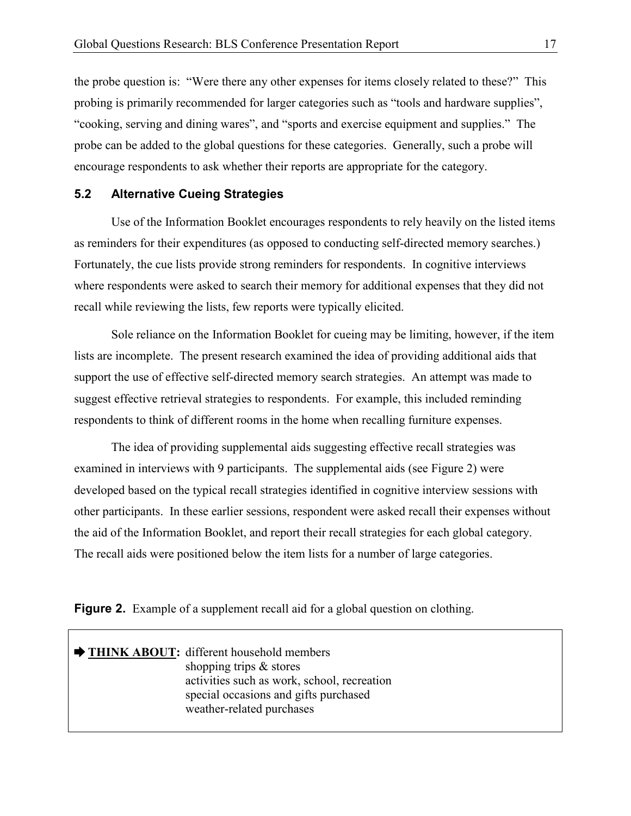the probe question is: "Were there any other expenses for items closely related to these?" This probing is primarily recommended for larger categories such as "tools and hardware supplies", "cooking, serving and dining wares", and "sports and exercise equipment and supplies." The probe can be added to the global questions for these categories. Generally, such a probe will encourage respondents to ask whether their reports are appropriate for the category.

#### 5.2 Alternative Cueing Strategies

Use of the Information Booklet encourages respondents to rely heavily on the listed items as reminders for their expenditures (as opposed to conducting self-directed memory searches.) Fortunately, the cue lists provide strong reminders for respondents. In cognitive interviews where respondents were asked to search their memory for additional expenses that they did not recall while reviewing the lists, few reports were typically elicited.

Sole reliance on the Information Booklet for cueing may be limiting, however, if the item lists are incomplete. The present research examined the idea of providing additional aids that support the use of effective self-directed memory search strategies. An attempt was made to suggest effective retrieval strategies to respondents. For example, this included reminding respondents to think of different rooms in the home when recalling furniture expenses.

The idea of providing supplemental aids suggesting effective recall strategies was examined in interviews with 9 participants. The supplemental aids (see Figure 2) were developed based on the typical recall strategies identified in cognitive interview sessions with other participants. In these earlier sessions, respondent were asked recall their expenses without the aid of the Information Booklet, and report their recall strategies for each global category. The recall aids were positioned below the item lists for a number of large categories.

Figure 2. Example of a supplement recall aid for a global question on clothing.

| THINK ABOUT: different household members<br>shopping trips $\&$ stores<br>activities such as work, school, recreation<br>special occasions and gifts purchased |
|----------------------------------------------------------------------------------------------------------------------------------------------------------------|
| weather-related purchases                                                                                                                                      |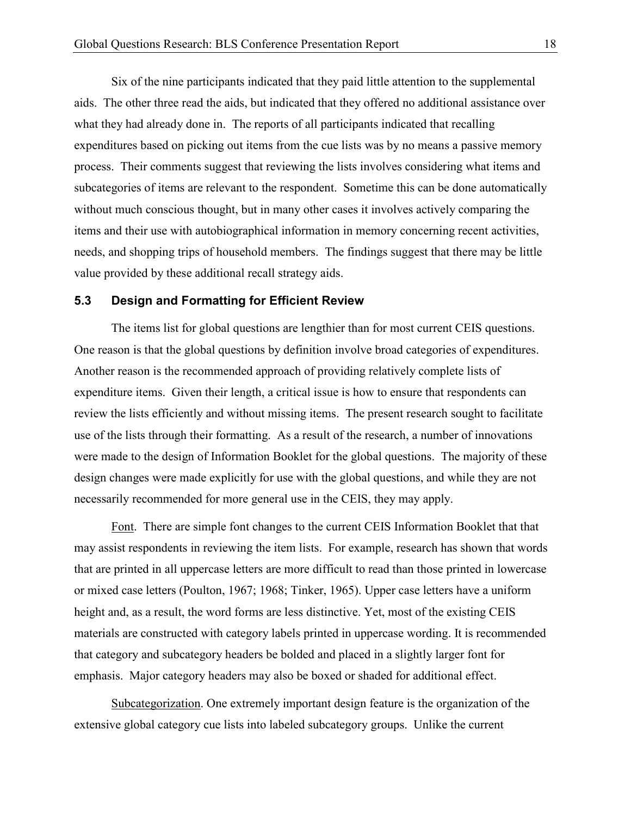Six of the nine participants indicated that they paid little attention to the supplemental aids. The other three read the aids, but indicated that they offered no additional assistance over what they had already done in. The reports of all participants indicated that recalling expenditures based on picking out items from the cue lists was by no means a passive memory process. Their comments suggest that reviewing the lists involves considering what items and subcategories of items are relevant to the respondent. Sometime this can be done automatically without much conscious thought, but in many other cases it involves actively comparing the items and their use with autobiographical information in memory concerning recent activities, needs, and shopping trips of household members. The findings suggest that there may be little value provided by these additional recall strategy aids.

#### 5.3 Design and Formatting for Efficient Review

The items list for global questions are lengthier than for most current CEIS questions. One reason is that the global questions by definition involve broad categories of expenditures. Another reason is the recommended approach of providing relatively complete lists of expenditure items. Given their length, a critical issue is how to ensure that respondents can review the lists efficiently and without missing items. The present research sought to facilitate use of the lists through their formatting. As a result of the research, a number of innovations were made to the design of Information Booklet for the global questions. The majority of these design changes were made explicitly for use with the global questions, and while they are not necessarily recommended for more general use in the CEIS, they may apply.

Font. There are simple font changes to the current CEIS Information Booklet that that may assist respondents in reviewing the item lists. For example, research has shown that words that are printed in all uppercase letters are more difficult to read than those printed in lowercase or mixed case letters (Poulton, 1967; 1968; Tinker, 1965). Upper case letters have a uniform height and, as a result, the word forms are less distinctive. Yet, most of the existing CEIS materials are constructed with category labels printed in uppercase wording. It is recommended that category and subcategory headers be bolded and placed in a slightly larger font for emphasis. Major category headers may also be boxed or shaded for additional effect.

Subcategorization. One extremely important design feature is the organization of the extensive global category cue lists into labeled subcategory groups. Unlike the current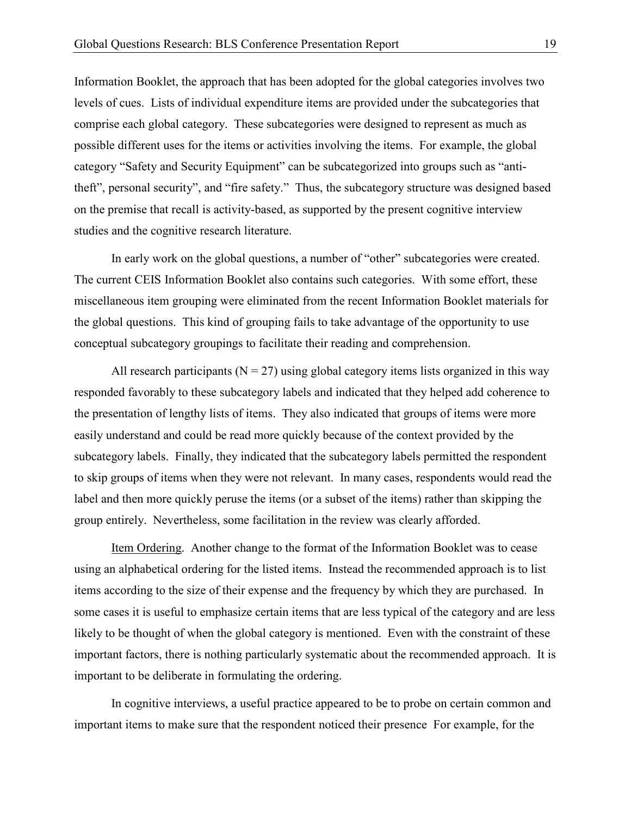Information Booklet, the approach that has been adopted for the global categories involves two levels of cues. Lists of individual expenditure items are provided under the subcategories that comprise each global category. These subcategories were designed to represent as much as possible different uses for the items or activities involving the items. For example, the global category "Safety and Security Equipment" can be subcategorized into groups such as "antitheft", personal security", and "fire safety." Thus, the subcategory structure was designed based on the premise that recall is activity-based, as supported by the present cognitive interview studies and the cognitive research literature.

 In early work on the global questions, a number of "other" subcategories were created. The current CEIS Information Booklet also contains such categories. With some effort, these miscellaneous item grouping were eliminated from the recent Information Booklet materials for the global questions. This kind of grouping fails to take advantage of the opportunity to use conceptual subcategory groupings to facilitate their reading and comprehension.

All research participants ( $N = 27$ ) using global category items lists organized in this way responded favorably to these subcategory labels and indicated that they helped add coherence to the presentation of lengthy lists of items. They also indicated that groups of items were more easily understand and could be read more quickly because of the context provided by the subcategory labels. Finally, they indicated that the subcategory labels permitted the respondent to skip groups of items when they were not relevant. In many cases, respondents would read the label and then more quickly peruse the items (or a subset of the items) rather than skipping the group entirely. Nevertheless, some facilitation in the review was clearly afforded.

 Item Ordering. Another change to the format of the Information Booklet was to cease using an alphabetical ordering for the listed items. Instead the recommended approach is to list items according to the size of their expense and the frequency by which they are purchased. In some cases it is useful to emphasize certain items that are less typical of the category and are less likely to be thought of when the global category is mentioned. Even with the constraint of these important factors, there is nothing particularly systematic about the recommended approach. It is important to be deliberate in formulating the ordering.

In cognitive interviews, a useful practice appeared to be to probe on certain common and important items to make sure that the respondent noticed their presence For example, for the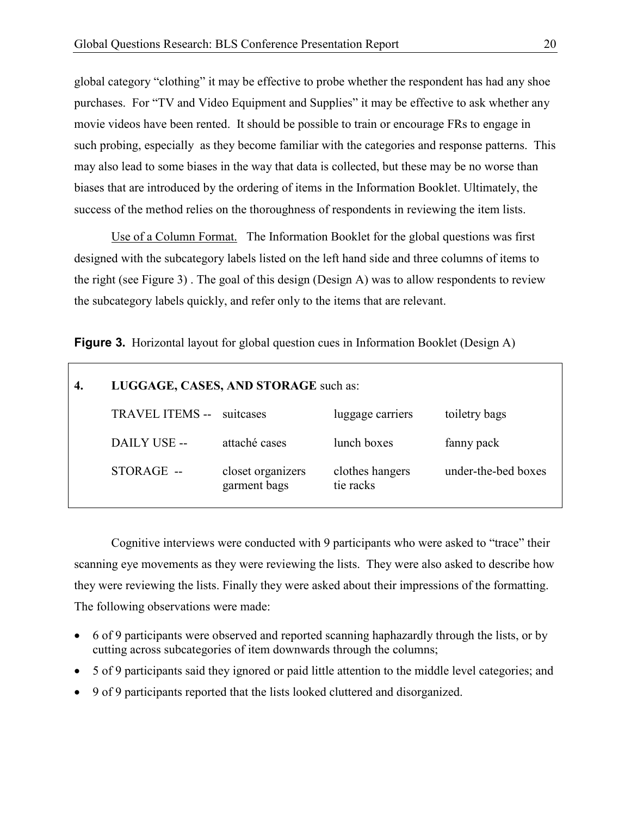global category "clothing" it may be effective to probe whether the respondent has had any shoe purchases. For "TV and Video Equipment and Supplies" it may be effective to ask whether any movie videos have been rented. It should be possible to train or encourage FRs to engage in such probing, especially as they become familiar with the categories and response patterns. This may also lead to some biases in the way that data is collected, but these may be no worse than biases that are introduced by the ordering of items in the Information Booklet. Ultimately, the success of the method relies on the thoroughness of respondents in reviewing the item lists.

Use of a Column Format. The Information Booklet for the global questions was first designed with the subcategory labels listed on the left hand side and three columns of items to the right (see Figure 3) . The goal of this design (Design A) was to allow respondents to review the subcategory labels quickly, and refer only to the items that are relevant.

Figure 3. Horizontal layout for global question cues in Information Booklet (Design A)

| 4. | LUGGAGE, CASES, AND STORAGE such as: |                                   |                              |                     |
|----|--------------------------------------|-----------------------------------|------------------------------|---------------------|
|    | <b>TRAVEL ITEMS --</b>               | suitcases                         | luggage carriers             | toiletry bags       |
|    | DAILY USE --                         | attaché cases                     | lunch boxes                  | fanny pack          |
|    | $STORAGE -$                          | closet organizers<br>garment bags | clothes hangers<br>tie racks | under-the-bed boxes |

Cognitive interviews were conducted with 9 participants who were asked to "trace" their scanning eye movements as they were reviewing the lists. They were also asked to describe how they were reviewing the lists. Finally they were asked about their impressions of the formatting. The following observations were made:

- 6 of 9 participants were observed and reported scanning haphazardly through the lists, or by cutting across subcategories of item downwards through the columns;
- 5 of 9 participants said they ignored or paid little attention to the middle level categories; and
- 9 of 9 participants reported that the lists looked cluttered and disorganized.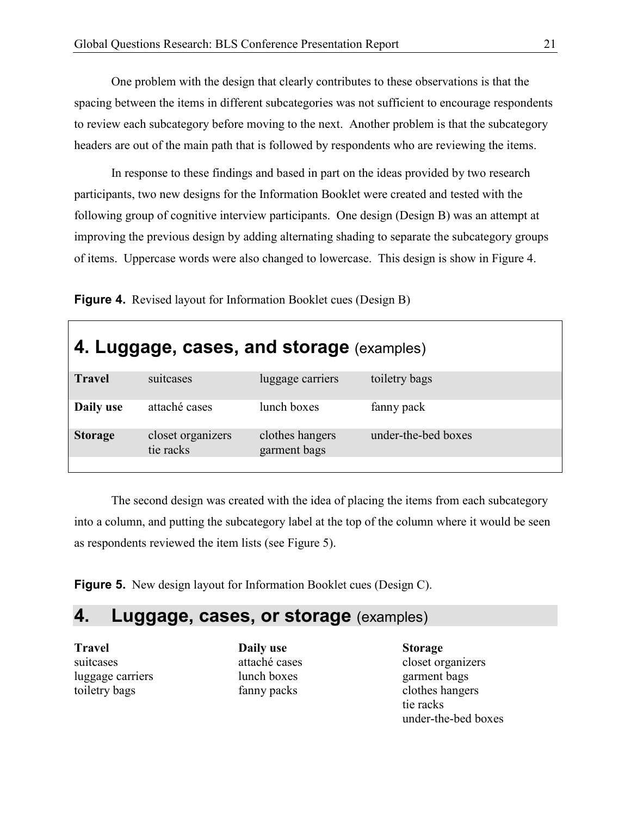One problem with the design that clearly contributes to these observations is that the spacing between the items in different subcategories was not sufficient to encourage respondents to review each subcategory before moving to the next. Another problem is that the subcategory headers are out of the main path that is followed by respondents who are reviewing the items.

In response to these findings and based in part on the ideas provided by two research participants, two new designs for the Information Booklet were created and tested with the following group of cognitive interview participants. One design (Design B) was an attempt at improving the previous design by adding alternating shading to separate the subcategory groups of items. Uppercase words were also changed to lowercase. This design is show in Figure 4.

Figure 4. Revised layout for Information Booklet cues (Design B)

| 4. Luggage, cases, and storage (examples) |                                 |                     |  |
|-------------------------------------------|---------------------------------|---------------------|--|
| suitcases                                 | luggage carriers                | toiletry bags       |  |
| attaché cases                             | lunch boxes                     | fanny pack          |  |
| closet organizers<br>tie racks            | clothes hangers<br>garment bags | under-the-bed boxes |  |
|                                           |                                 |                     |  |

The second design was created with the idea of placing the items from each subcategory into a column, and putting the subcategory label at the top of the column where it would be seen as respondents reviewed the item lists (see Figure 5).

**Figure 5.** New design layout for Information Booklet cues (Design C).

## 4. Luggage, cases, or storage (examples)

Travel suitcases luggage carriers toiletry bags

Daily use attaché cases lunch boxes fanny packs

Storage closet organizers garment bags clothes hangers tie racks under-the-bed boxes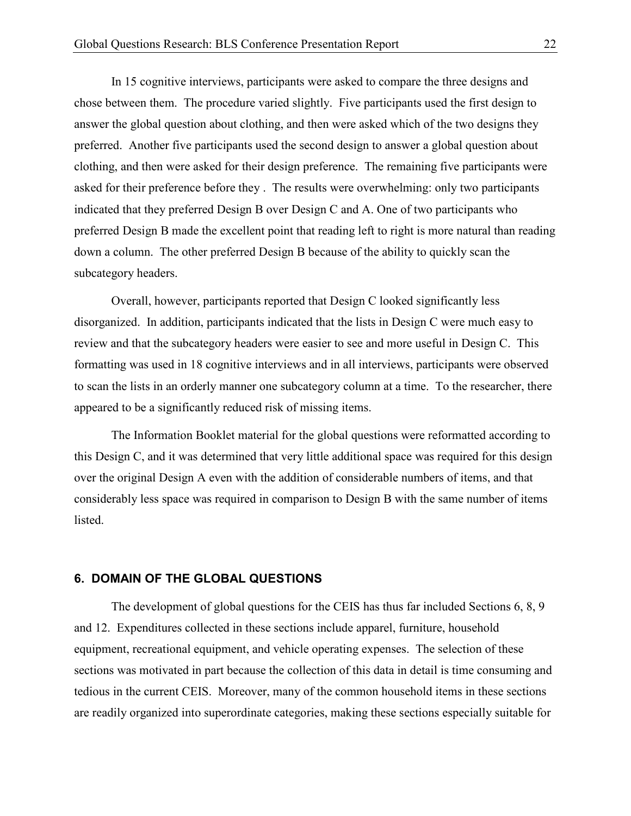In 15 cognitive interviews, participants were asked to compare the three designs and chose between them. The procedure varied slightly. Five participants used the first design to answer the global question about clothing, and then were asked which of the two designs they preferred. Another five participants used the second design to answer a global question about clothing, and then were asked for their design preference. The remaining five participants were asked for their preference before they . The results were overwhelming: only two participants indicated that they preferred Design B over Design C and A. One of two participants who preferred Design B made the excellent point that reading left to right is more natural than reading down a column. The other preferred Design B because of the ability to quickly scan the subcategory headers.

Overall, however, participants reported that Design C looked significantly less disorganized. In addition, participants indicated that the lists in Design C were much easy to review and that the subcategory headers were easier to see and more useful in Design C. This formatting was used in 18 cognitive interviews and in all interviews, participants were observed to scan the lists in an orderly manner one subcategory column at a time. To the researcher, there appeared to be a significantly reduced risk of missing items.

The Information Booklet material for the global questions were reformatted according to this Design C, and it was determined that very little additional space was required for this design over the original Design A even with the addition of considerable numbers of items, and that considerably less space was required in comparison to Design B with the same number of items listed.

#### 6. DOMAIN OF THE GLOBAL QUESTIONS

The development of global questions for the CEIS has thus far included Sections 6, 8, 9 and 12. Expenditures collected in these sections include apparel, furniture, household equipment, recreational equipment, and vehicle operating expenses. The selection of these sections was motivated in part because the collection of this data in detail is time consuming and tedious in the current CEIS. Moreover, many of the common household items in these sections are readily organized into superordinate categories, making these sections especially suitable for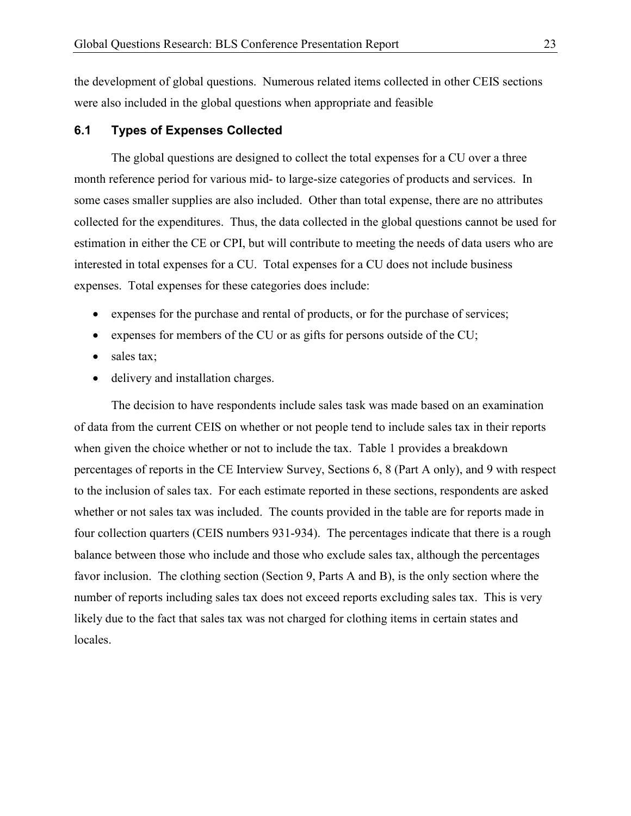the development of global questions. Numerous related items collected in other CEIS sections were also included in the global questions when appropriate and feasible

#### 6.1 Types of Expenses Collected

 The global questions are designed to collect the total expenses for a CU over a three month reference period for various mid- to large-size categories of products and services. In some cases smaller supplies are also included. Other than total expense, there are no attributes collected for the expenditures. Thus, the data collected in the global questions cannot be used for estimation in either the CE or CPI, but will contribute to meeting the needs of data users who are interested in total expenses for a CU. Total expenses for a CU does not include business expenses. Total expenses for these categories does include:

- expenses for the purchase and rental of products, or for the purchase of services;
- expenses for members of the CU or as gifts for persons outside of the CU;
- sales tax;
- delivery and installation charges.

The decision to have respondents include sales task was made based on an examination of data from the current CEIS on whether or not people tend to include sales tax in their reports when given the choice whether or not to include the tax. Table 1 provides a breakdown percentages of reports in the CE Interview Survey, Sections 6, 8 (Part A only), and 9 with respect to the inclusion of sales tax. For each estimate reported in these sections, respondents are asked whether or not sales tax was included. The counts provided in the table are for reports made in four collection quarters (CEIS numbers 931-934). The percentages indicate that there is a rough balance between those who include and those who exclude sales tax, although the percentages favor inclusion. The clothing section (Section 9, Parts A and B), is the only section where the number of reports including sales tax does not exceed reports excluding sales tax. This is very likely due to the fact that sales tax was not charged for clothing items in certain states and locales.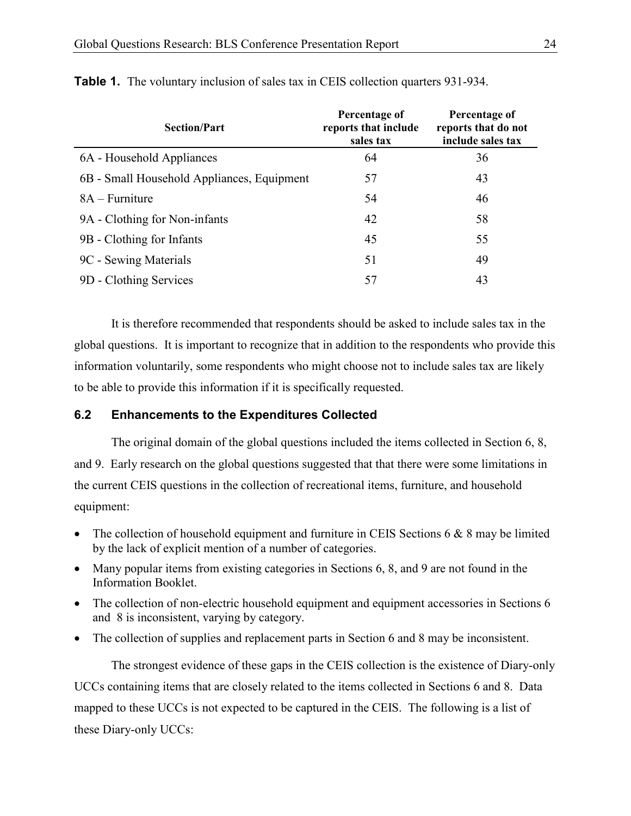| <b>Section/Part</b>                        | Percentage of<br>reports that include<br>sales tax | Percentage of<br>reports that do not<br>include sales tax |
|--------------------------------------------|----------------------------------------------------|-----------------------------------------------------------|
| 6A - Household Appliances                  | 64                                                 | 36                                                        |
| 6B - Small Household Appliances, Equipment | 57                                                 | 43                                                        |
| $8A - Furniture$                           | 54                                                 | 46                                                        |
| 9A - Clothing for Non-infants              | 42                                                 | 58                                                        |
| 9B - Clothing for Infants                  | 45                                                 | 55                                                        |
| 9C - Sewing Materials                      | 51                                                 | 49                                                        |
| 9D - Clothing Services                     | 57                                                 | 43                                                        |

Table 1. The voluntary inclusion of sales tax in CEIS collection quarters 931-934.

It is therefore recommended that respondents should be asked to include sales tax in the global questions. It is important to recognize that in addition to the respondents who provide this information voluntarily, some respondents who might choose not to include sales tax are likely to be able to provide this information if it is specifically requested.

#### 6.2 Enhancements to the Expenditures Collected

 The original domain of the global questions included the items collected in Section 6, 8, and 9. Early research on the global questions suggested that that there were some limitations in the current CEIS questions in the collection of recreational items, furniture, and household equipment:

- The collection of household equipment and furniture in CEIS Sections 6  $\&$  8 may be limited by the lack of explicit mention of a number of categories.
- Many popular items from existing categories in Sections 6, 8, and 9 are not found in the Information Booklet.
- The collection of non-electric household equipment and equipment accessories in Sections 6 and 8 is inconsistent, varying by category.
- The collection of supplies and replacement parts in Section 6 and 8 may be inconsistent.

 The strongest evidence of these gaps in the CEIS collection is the existence of Diary-only UCCs containing items that are closely related to the items collected in Sections 6 and 8. Data mapped to these UCCs is not expected to be captured in the CEIS. The following is a list of these Diary-only UCCs: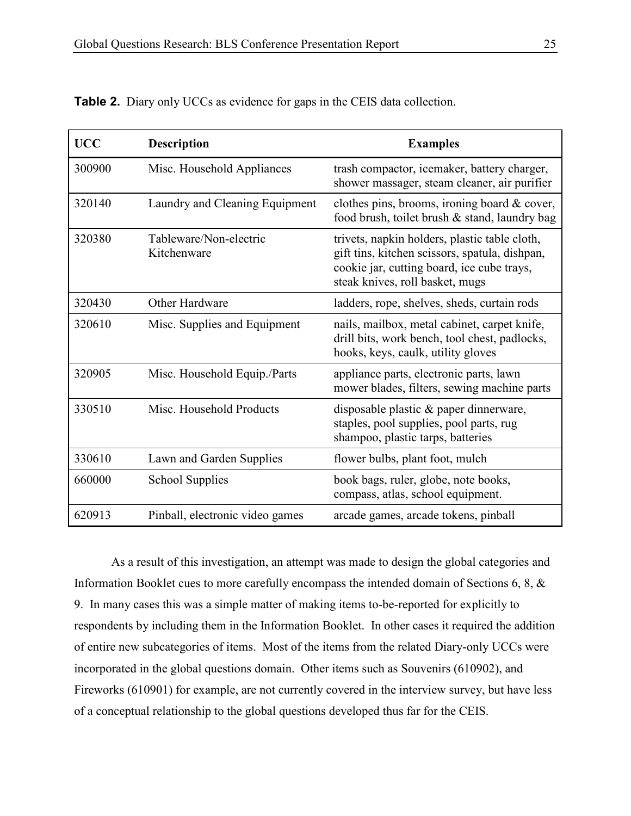| <b>UCC</b> | <b>Description</b>                    | <b>Examples</b>                                                                                                                                                                  |
|------------|---------------------------------------|----------------------------------------------------------------------------------------------------------------------------------------------------------------------------------|
| 300900     | Misc. Household Appliances            | trash compactor, icemaker, battery charger,<br>shower massager, steam cleaner, air purifier                                                                                      |
| 320140     | Laundry and Cleaning Equipment        | clothes pins, brooms, ironing board $\&$ cover,<br>food brush, toilet brush & stand, laundry bag                                                                                 |
| 320380     | Tableware/Non-electric<br>Kitchenware | trivets, napkin holders, plastic table cloth,<br>gift tins, kitchen scissors, spatula, dishpan,<br>cookie jar, cutting board, ice cube trays,<br>steak knives, roll basket, mugs |
| 320430     | Other Hardware                        | ladders, rope, shelves, sheds, curtain rods                                                                                                                                      |
| 320610     | Misc. Supplies and Equipment          | nails, mailbox, metal cabinet, carpet knife,<br>drill bits, work bench, tool chest, padlocks,<br>hooks, keys, caulk, utility gloves                                              |
| 320905     | Misc. Household Equip./Parts          | appliance parts, electronic parts, lawn<br>mower blades, filters, sewing machine parts                                                                                           |
| 330510     | Misc. Household Products              | disposable plastic & paper dinnerware,<br>staples, pool supplies, pool parts, rug<br>shampoo, plastic tarps, batteries                                                           |
| 330610     | Lawn and Garden Supplies              | flower bulbs, plant foot, mulch                                                                                                                                                  |
| 660000     | <b>School Supplies</b>                | book bags, ruler, globe, note books,<br>compass, atlas, school equipment.                                                                                                        |
| 620913     | Pinball, electronic video games       | arcade games, arcade tokens, pinball                                                                                                                                             |

Table 2. Diary only UCCs as evidence for gaps in the CEIS data collection.

As a result of this investigation, an attempt was made to design the global categories and Information Booklet cues to more carefully encompass the intended domain of Sections 6, 8, & 9. In many cases this was a simple matter of making items to-be-reported for explicitly to respondents by including them in the Information Booklet. In other cases it required the addition of entire new subcategories of items. Most of the items from the related Diary-only UCCs were incorporated in the global questions domain. Other items such as Souvenirs (610902), and Fireworks (610901) for example, are not currently covered in the interview survey, but have less of a conceptual relationship to the global questions developed thus far for the CEIS.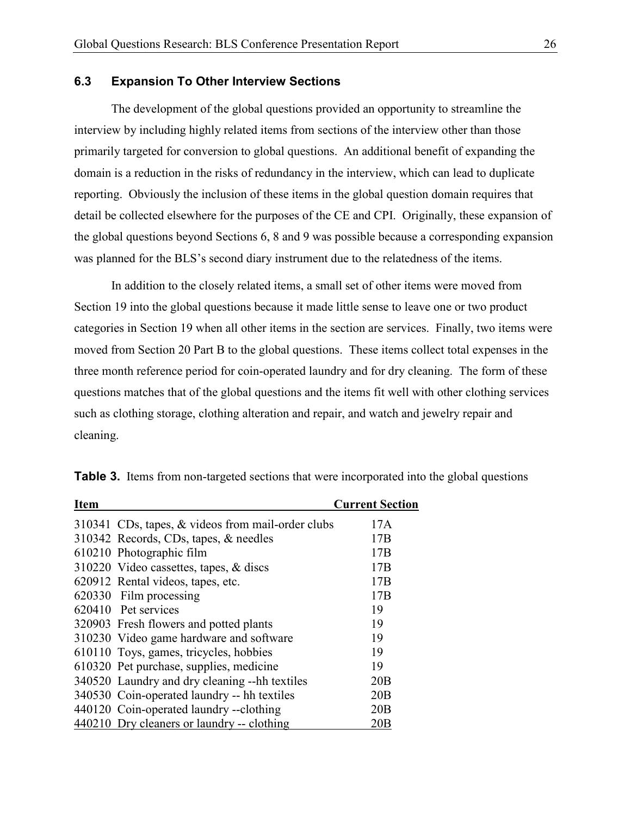#### 6.3 Expansion To Other Interview Sections

 The development of the global questions provided an opportunity to streamline the interview by including highly related items from sections of the interview other than those primarily targeted for conversion to global questions. An additional benefit of expanding the domain is a reduction in the risks of redundancy in the interview, which can lead to duplicate reporting. Obviously the inclusion of these items in the global question domain requires that detail be collected elsewhere for the purposes of the CE and CPI. Originally, these expansion of the global questions beyond Sections 6, 8 and 9 was possible because a corresponding expansion was planned for the BLS's second diary instrument due to the relatedness of the items.

In addition to the closely related items, a small set of other items were moved from Section 19 into the global questions because it made little sense to leave one or two product categories in Section 19 when all other items in the section are services. Finally, two items were moved from Section 20 Part B to the global questions. These items collect total expenses in the three month reference period for coin-operated laundry and for dry cleaning. The form of these questions matches that of the global questions and the items fit well with other clothing services such as clothing storage, clothing alteration and repair, and watch and jewelry repair and cleaning.

| <b>Item</b> |                                                   | <b>Current Section</b> |
|-------------|---------------------------------------------------|------------------------|
|             | 310341 CDs, tapes, & videos from mail-order clubs | 17A                    |
|             | 310342 Records, CDs, tapes, & needles             | 17B                    |
|             | 610210 Photographic film                          | 17B                    |
|             | 310220 Video cassettes, tapes, & discs            | 17B                    |
|             | 620912 Rental videos, tapes, etc.                 | 17B                    |
|             | 620330 Film processing                            | 17B                    |
|             | 620410 Pet services                               | 19                     |
|             | 320903 Fresh flowers and potted plants            | 19                     |
|             | 310230 Video game hardware and software           | 19                     |
|             | 610110 Toys, games, tricycles, hobbies            | 19                     |
|             | 610320 Pet purchase, supplies, medicine           | 19                     |
|             | 340520 Laundry and dry cleaning --hh textiles     | 20B                    |
|             | 340530 Coin-operated laundry -- hh textiles       | 20B                    |
|             | 440120 Coin-operated laundry --clothing           | 20B                    |
|             | 440210 Dry cleaners or laundry -- clothing        | 20B                    |

Table 3. Items from non-targeted sections that were incorporated into the global questions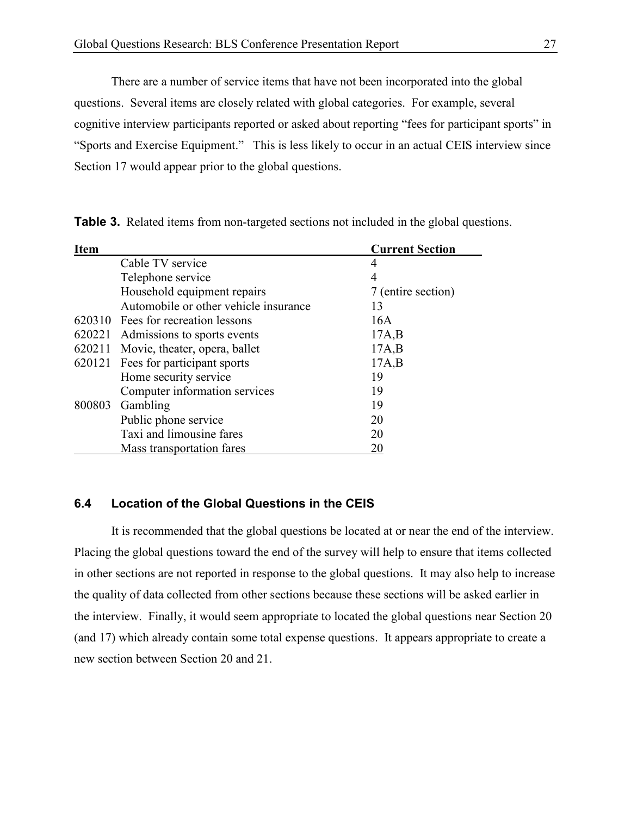There are a number of service items that have not been incorporated into the global questions. Several items are closely related with global categories. For example, several cognitive interview participants reported or asked about reporting "fees for participant sports" in "Sports and Exercise Equipment." This is less likely to occur in an actual CEIS interview since Section 17 would appear prior to the global questions.

Table 3. Related items from non-targeted sections not included in the global questions.

| <b>Item</b> |                                       | <b>Current Section</b> |
|-------------|---------------------------------------|------------------------|
|             | Cable TV service                      | 4                      |
|             | Telephone service                     | 4                      |
|             | Household equipment repairs           | 7 (entire section)     |
|             | Automobile or other vehicle insurance | 13                     |
|             | 620310 Fees for recreation lessons    | 16A                    |
| 620221      | Admissions to sports events           | 17A,B                  |
| 620211      | Movie, theater, opera, ballet         | 17A,B                  |
|             | 620121 Fees for participant sports    | 17A,B                  |
|             | Home security service                 | 19                     |
|             | Computer information services         | 19                     |
| 800803      | Gambling                              | 19                     |
|             | Public phone service                  | 20                     |
|             | Taxi and limousine fares              | 20                     |
|             | Mass transportation fares             | 20                     |

#### 6.4 Location of the Global Questions in the CEIS

 It is recommended that the global questions be located at or near the end of the interview. Placing the global questions toward the end of the survey will help to ensure that items collected in other sections are not reported in response to the global questions. It may also help to increase the quality of data collected from other sections because these sections will be asked earlier in the interview. Finally, it would seem appropriate to located the global questions near Section 20 (and 17) which already contain some total expense questions. It appears appropriate to create a new section between Section 20 and 21.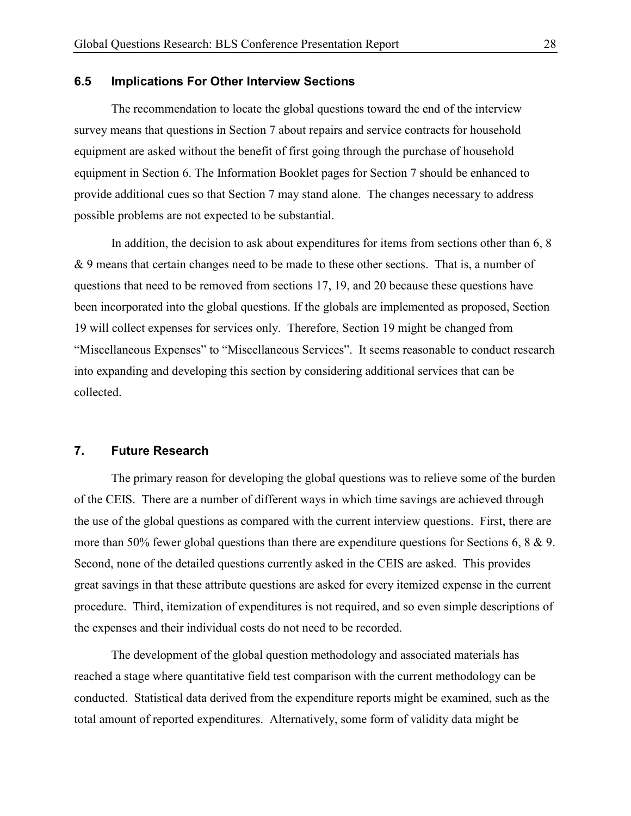#### 6.5 Implications For Other Interview Sections

The recommendation to locate the global questions toward the end of the interview survey means that questions in Section 7 about repairs and service contracts for household equipment are asked without the benefit of first going through the purchase of household equipment in Section 6. The Information Booklet pages for Section 7 should be enhanced to provide additional cues so that Section 7 may stand alone. The changes necessary to address possible problems are not expected to be substantial.

In addition, the decision to ask about expenditures for items from sections other than 6, 8 & 9 means that certain changes need to be made to these other sections. That is, a number of questions that need to be removed from sections 17, 19, and 20 because these questions have been incorporated into the global questions. If the globals are implemented as proposed, Section 19 will collect expenses for services only. Therefore, Section 19 might be changed from "Miscellaneous Expenses" to "Miscellaneous Services". It seems reasonable to conduct research into expanding and developing this section by considering additional services that can be collected.

#### 7. Future Research

The primary reason for developing the global questions was to relieve some of the burden of the CEIS. There are a number of different ways in which time savings are achieved through the use of the global questions as compared with the current interview questions. First, there are more than 50% fewer global questions than there are expenditure questions for Sections 6, 8 & 9. Second, none of the detailed questions currently asked in the CEIS are asked. This provides great savings in that these attribute questions are asked for every itemized expense in the current procedure. Third, itemization of expenditures is not required, and so even simple descriptions of the expenses and their individual costs do not need to be recorded.

The development of the global question methodology and associated materials has reached a stage where quantitative field test comparison with the current methodology can be conducted. Statistical data derived from the expenditure reports might be examined, such as the total amount of reported expenditures. Alternatively, some form of validity data might be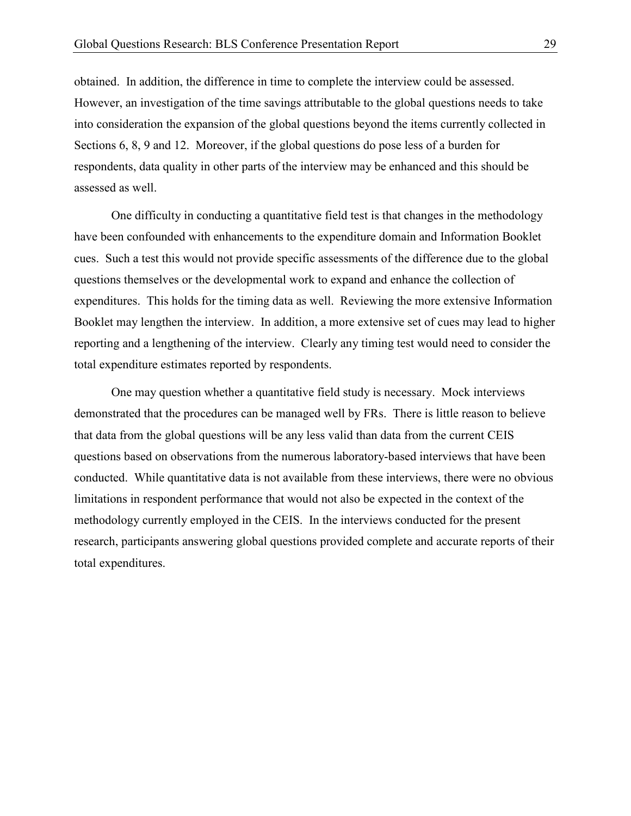obtained. In addition, the difference in time to complete the interview could be assessed. However, an investigation of the time savings attributable to the global questions needs to take into consideration the expansion of the global questions beyond the items currently collected in Sections 6, 8, 9 and 12. Moreover, if the global questions do pose less of a burden for respondents, data quality in other parts of the interview may be enhanced and this should be assessed as well.

One difficulty in conducting a quantitative field test is that changes in the methodology have been confounded with enhancements to the expenditure domain and Information Booklet cues. Such a test this would not provide specific assessments of the difference due to the global questions themselves or the developmental work to expand and enhance the collection of expenditures. This holds for the timing data as well. Reviewing the more extensive Information Booklet may lengthen the interview. In addition, a more extensive set of cues may lead to higher reporting and a lengthening of the interview. Clearly any timing test would need to consider the total expenditure estimates reported by respondents.

One may question whether a quantitative field study is necessary. Mock interviews demonstrated that the procedures can be managed well by FRs. There is little reason to believe that data from the global questions will be any less valid than data from the current CEIS questions based on observations from the numerous laboratory-based interviews that have been conducted. While quantitative data is not available from these interviews, there were no obvious limitations in respondent performance that would not also be expected in the context of the methodology currently employed in the CEIS. In the interviews conducted for the present research, participants answering global questions provided complete and accurate reports of their total expenditures.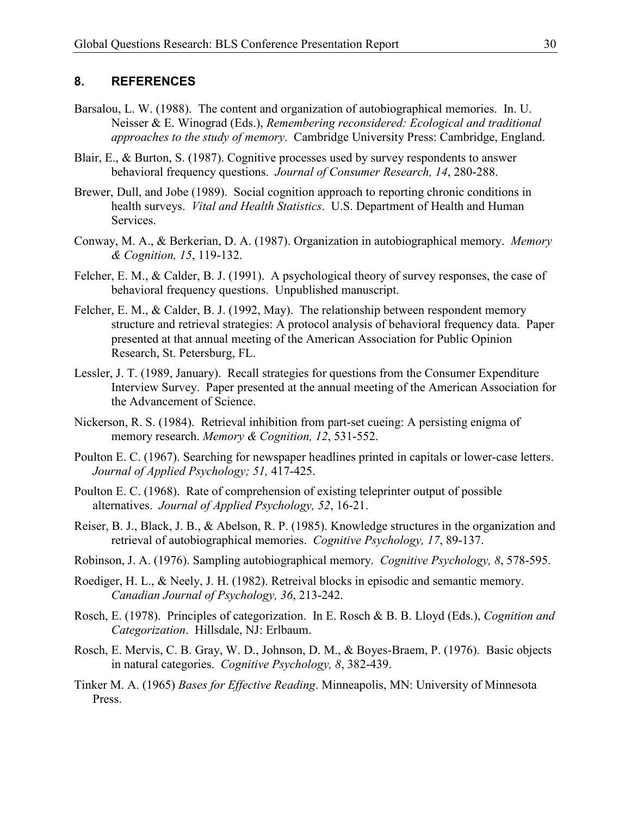#### 8. REFERENCES

- Barsalou, L. W. (1988). The content and organization of autobiographical memories. In. U. Neisser & E. Winograd (Eds.), Remembering reconsidered: Ecological and traditional approaches to the study of memory. Cambridge University Press: Cambridge, England.
- Blair, E., & Burton, S. (1987). Cognitive processes used by survey respondents to answer behavioral frequency questions. Journal of Consumer Research, 14, 280-288.
- Brewer, Dull, and Jobe (1989). Social cognition approach to reporting chronic conditions in health surveys. Vital and Health Statistics. U.S. Department of Health and Human Services.
- Conway, M. A., & Berkerian, D. A. (1987). Organization in autobiographical memory. Memory & Cognition, 15, 119-132.
- Felcher, E. M., & Calder, B. J. (1991). A psychological theory of survey responses, the case of behavioral frequency questions. Unpublished manuscript.
- Felcher, E. M., & Calder, B. J. (1992, May). The relationship between respondent memory structure and retrieval strategies: A protocol analysis of behavioral frequency data. Paper presented at that annual meeting of the American Association for Public Opinion Research, St. Petersburg, FL.
- Lessler, J. T. (1989, January). Recall strategies for questions from the Consumer Expenditure Interview Survey. Paper presented at the annual meeting of the American Association for the Advancement of Science.
- Nickerson, R. S. (1984). Retrieval inhibition from part-set cueing: A persisting enigma of memory research. Memory & Cognition, 12, 531-552.
- Poulton E. C. (1967). Searching for newspaper headlines printed in capitals or lower-case letters. Journal of Applied Psychology; 51, 417-425.
- Poulton E. C. (1968). Rate of comprehension of existing teleprinter output of possible alternatives. Journal of Applied Psychology, 52, 16-21.
- Reiser, B. J., Black, J. B., & Abelson, R. P. (1985). Knowledge structures in the organization and retrieval of autobiographical memories. Cognitive Psychology, 17, 89-137.
- Robinson, J. A. (1976). Sampling autobiographical memory. Cognitive Psychology, 8, 578-595.
- Roediger, H. L., & Neely, J. H. (1982). Retreival blocks in episodic and semantic memory. Canadian Journal of Psychology, 36, 213-242.
- Rosch, E. (1978). Principles of categorization. In E. Rosch & B. B. Lloyd (Eds.), Cognition and Categorization. Hillsdale, NJ: Erlbaum.
- Rosch, E. Mervis, C. B. Gray, W. D., Johnson, D. M., & Boyes-Braem, P. (1976). Basic objects in natural categories. Cognitive Psychology, 8, 382-439.
- Tinker M. A. (1965) Bases for Effective Reading. Minneapolis, MN: University of Minnesota Press.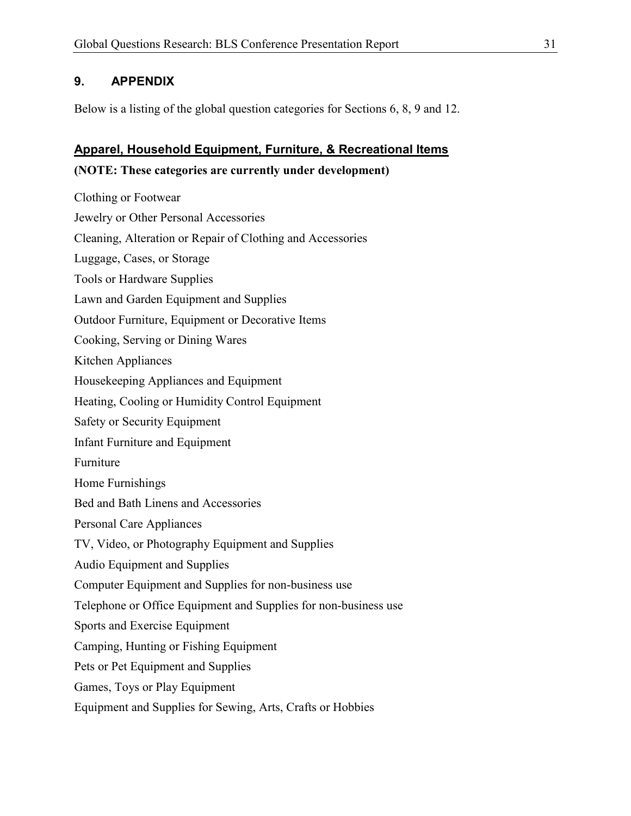## 9. APPENDIX

Below is a listing of the global question categories for Sections 6, 8, 9 and 12.

## Apparel, Household Equipment, Furniture, & Recreational Items

#### (NOTE: These categories are currently under development)

Clothing or Footwear Jewelry or Other Personal Accessories Cleaning, Alteration or Repair of Clothing and Accessories Luggage, Cases, or Storage Tools or Hardware Supplies Lawn and Garden Equipment and Supplies Outdoor Furniture, Equipment or Decorative Items Cooking, Serving or Dining Wares Kitchen Appliances Housekeeping Appliances and Equipment Heating, Cooling or Humidity Control Equipment Safety or Security Equipment Infant Furniture and Equipment Furniture Home Furnishings Bed and Bath Linens and Accessories Personal Care Appliances TV, Video, or Photography Equipment and Supplies Audio Equipment and Supplies Computer Equipment and Supplies for non-business use Telephone or Office Equipment and Supplies for non-business use Sports and Exercise Equipment Camping, Hunting or Fishing Equipment Pets or Pet Equipment and Supplies Games, Toys or Play Equipment Equipment and Supplies for Sewing, Arts, Crafts or Hobbies